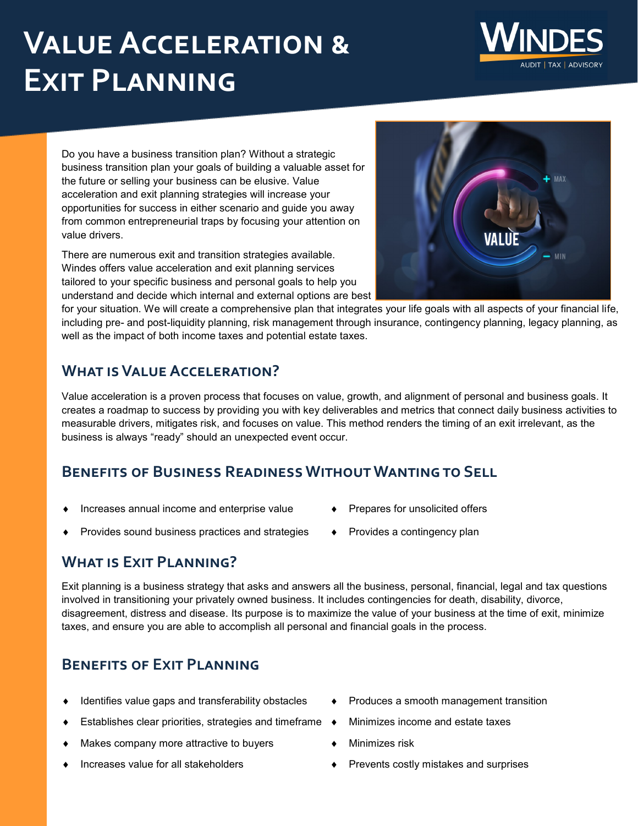# **Value Acceleration & Exit Planning**



There are numerous exit and transition strategies available. Windes offers value acceleration and exit planning services tailored to your specific business and personal goals to help you understand and decide which internal and external options are best



for your situation. We will create a comprehensive plan that integrates your life goals with all aspects of your financial life, including pre- and post-liquidity planning, risk management through insurance, contingency planning, legacy planning, as well as the impact of both income taxes and potential estate taxes.

### **What is Value Acceleration?**

Value acceleration is a proven process that focuses on value, growth, and alignment of personal and business goals. It creates a roadmap to success by providing you with key deliverables and metrics that connect daily business activities to measurable drivers, mitigates risk, and focuses on value. This method renders the timing of an exit irrelevant, as the business is always "ready" should an unexpected event occur.

#### **Benefits of Business Readiness Without Wanting to Sell**

- Increases annual income and enterprise value
- Provides sound business practices and strategies
- Prepares for unsolicited offers
- Provides a contingency plan

#### **What is Exit Planning?**

Exit planning is a business strategy that asks and answers all the business, personal, financial, legal and tax questions involved in transitioning your privately owned business. It includes contingencies for death, disability, divorce, disagreement, distress and disease. Its purpose is to maximize the value of your business at the time of exit, minimize taxes, and ensure you are able to accomplish all personal and financial goals in the process.

## **Benefits of Exit Planning**

- Identifies value gaps and transferability obstacles
- ◆ Establishes clear priorities, strategies and timeframe ◆
- Makes company more attractive to buyers
- Increases value for all stakeholders
- Produces a smooth management transition
- Minimizes income and estate taxes
- Minimizes risk
- Prevents costly mistakes and surprises